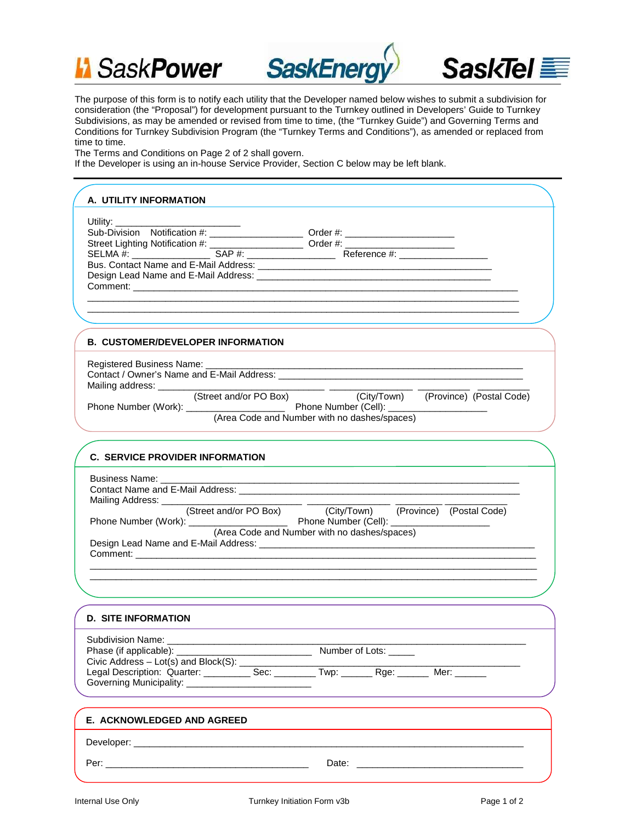





The purpose of this form is to notify each utility that the Developer named below wishes to submit a subdivision for consideration (the "Proposal") for development pursuant to the Turnkey outlined in Developers' Guide to Turnkey Subdivisions, as may be amended or revised from time to time, (the "Turnkey Guide") and Governing Terms and Conditions for Turnkey Subdivision Program (the "Turnkey Terms and Conditions"), as amended or replaced from time to time.

The Terms and Conditions on Page 2 of 2 shall govern.

If the Developer is using an in-house Service Provider, Section C below may be left blank.

## **A. UTILITY INFORMATION** Utility: \_\_\_\_\_\_\_\_\_\_\_\_\_\_\_\_\_\_\_\_\_\_\_\_ Sub-Division Notification #: \_\_\_\_\_\_\_\_\_\_\_\_\_\_\_\_\_\_ Order #: \_\_\_\_\_\_\_\_\_\_\_\_\_\_\_\_\_\_\_\_\_ Street Lighting Notification #: \_\_\_\_\_\_\_\_\_\_\_\_\_\_\_\_\_\_ Order #: \_\_\_\_\_\_\_\_\_\_\_\_\_\_\_\_\_\_\_\_\_ SELMA #: \_\_\_\_\_\_\_\_\_\_\_\_\_\_\_\_\_\_\_ SAP #: \_\_\_\_\_\_\_\_\_\_\_\_\_\_\_\_\_\_\_\_\_\_\_\_ Reference #: \_\_\_\_\_\_\_\_\_\_\_\_\_\_\_\_\_\_\_\_ Bus. Contact Name and E-Mail Address: \_\_\_\_\_\_\_\_\_\_\_\_\_\_\_\_\_\_\_\_\_\_\_\_\_\_\_\_\_\_\_\_\_\_\_\_\_\_\_\_\_\_\_\_\_ Design Lead Name and E-Mail Address: \_\_\_\_\_\_\_\_\_\_\_\_\_\_\_\_\_\_\_\_\_\_\_\_\_\_\_\_\_\_\_\_\_\_\_\_\_\_\_\_\_\_\_\_\_ Comment: \_\_\_\_\_\_\_\_\_\_\_\_\_\_\_\_\_\_\_\_\_\_\_\_\_\_\_\_\_\_\_\_\_\_\_\_\_\_\_\_\_\_\_\_\_\_\_\_\_\_\_\_\_\_\_\_\_\_\_\_\_\_\_\_\_\_\_\_\_\_\_\_\_\_ \_\_\_\_\_\_\_\_\_\_\_\_\_\_\_\_\_\_\_\_\_\_\_\_\_\_\_\_\_\_\_\_\_\_\_\_\_\_\_\_\_\_\_\_\_\_\_\_\_\_\_\_\_\_\_\_\_\_\_\_\_\_\_\_\_\_\_\_\_\_\_\_\_\_\_\_\_\_\_\_\_\_\_ \_\_\_\_\_\_\_\_\_\_\_\_\_\_\_\_\_\_\_\_\_\_\_\_\_\_\_\_\_\_\_\_\_\_\_\_\_\_\_\_\_\_\_\_\_\_\_\_\_\_\_\_\_\_\_\_\_\_\_\_\_\_\_\_\_\_\_\_\_\_\_\_\_\_\_\_\_\_\_\_\_\_\_ **C. SERVICE PROVIDER INFORMATION** Business Name: Contact Name and E-Mail Address: \_\_\_\_\_\_\_\_\_\_\_\_\_\_\_\_\_\_\_\_\_\_\_\_\_\_\_\_\_\_\_\_\_\_\_\_\_\_\_\_\_\_\_\_\_\_\_\_\_\_\_\_\_\_ Mailing Address: \_\_\_\_\_\_\_\_\_\_\_\_\_\_\_\_\_\_\_\_\_\_\_\_\_\_\_ \_\_\_\_\_\_\_\_\_\_\_\_\_\_\_\_ \_\_\_\_\_\_\_\_\_ \_\_\_\_\_\_\_\_\_\_\_\_ (Street and/or PO Box) (City/Town) (Province) (Postal Code) Phone Number (Work): \_\_\_\_\_\_\_\_\_\_\_\_\_\_\_\_\_\_\_ Phone Number (Cell): \_\_\_\_\_\_\_\_\_\_\_\_\_\_\_\_\_\_\_ (Area Code and Number with no dashes/spaces) Design Lead Name and E-Mail Address: \_\_\_\_\_\_\_\_\_\_\_\_\_\_\_\_\_\_\_\_\_\_\_\_\_\_\_\_\_\_\_\_\_\_\_\_\_\_\_\_\_\_\_\_\_\_\_\_\_\_\_\_\_ Comment: \_\_\_\_\_\_\_\_\_\_\_\_\_\_\_\_\_\_\_\_\_\_\_\_\_\_\_\_\_\_\_\_\_\_\_\_\_\_\_\_\_\_\_\_\_\_\_\_\_\_\_\_\_\_\_\_\_\_\_\_\_\_\_\_\_\_\_\_\_\_\_\_\_\_\_\_\_\_\_\_\_\_\_\_\_\_ \_\_\_\_\_\_\_\_\_\_\_\_\_\_\_\_\_\_\_\_\_\_\_\_\_\_\_\_\_\_\_\_\_\_\_\_\_\_\_\_\_\_\_\_\_\_\_\_\_\_\_\_\_\_\_\_\_\_\_\_\_\_\_\_\_\_\_\_\_\_\_\_\_\_\_\_\_\_\_\_\_\_\_\_\_\_ **B. CUSTOMER/DEVELOPER INFORMATION** Registered Business Name: Contact / Owner's Name and E-Mail Address: \_\_\_\_\_\_\_\_\_\_\_\_\_\_\_\_\_\_\_\_\_\_\_\_\_\_\_\_\_\_\_\_\_\_\_\_\_\_\_\_\_\_\_\_\_\_\_ Mailing address: \_\_\_\_\_\_\_\_\_\_\_\_\_\_\_\_\_\_\_\_\_\_\_\_\_\_\_\_\_\_\_\_ \_\_\_\_\_\_\_\_\_\_\_\_\_\_\_\_ \_\_\_\_\_\_\_\_\_\_ \_\_\_\_\_\_\_\_\_\_ (City/Town) (Province) (Postal Code) Phone Number (Work): \_\_\_\_\_\_\_\_\_\_\_\_\_\_\_\_\_\_\_ Phone Number (Cell): \_\_\_\_\_\_\_\_\_\_\_\_\_\_\_\_\_\_\_ (Area Code and Number with no dashes/spaces) **D. SITE INFORMATION** Subdivision Name: \_\_\_\_\_\_\_\_\_\_\_\_\_\_\_\_\_\_\_\_\_\_\_\_\_\_\_\_\_\_\_\_\_\_\_\_\_\_\_\_\_\_\_\_\_\_\_\_\_\_\_\_\_\_\_\_\_\_\_\_\_\_\_\_\_\_\_\_\_  $\blacksquare$  Number of Lots:  $\blacksquare$ Civic Address  $-$  Lot(s) and Block(S):  $\_\_$ Legal Description: Quarter: \_\_\_\_\_\_\_\_\_\_\_\_ Sec: \_\_\_\_\_\_\_\_ Twp: \_\_\_\_\_\_\_ Rge: \_\_\_\_\_\_ Mer: \_\_\_\_\_\_ Governing Municipality: \_\_\_\_\_\_\_\_\_\_\_\_\_\_\_\_\_\_\_\_\_\_\_\_ **E. ACKNOWLEDGED AND AGREED**

Developer: \_\_\_\_\_\_\_\_\_\_\_\_\_\_\_\_\_\_\_\_\_\_\_\_\_\_\_\_\_\_\_\_\_\_\_\_\_\_\_\_\_\_\_\_\_\_\_\_\_\_\_\_\_\_\_\_\_\_\_\_\_\_\_\_\_\_\_\_\_\_\_\_\_\_\_

Per: \_\_\_\_\_\_\_\_\_\_\_\_\_\_\_\_\_\_\_\_\_\_\_\_\_\_\_\_\_\_\_\_\_\_\_\_\_\_\_ Date: \_\_\_\_\_\_\_\_\_\_\_\_\_\_\_\_\_\_\_\_\_\_\_\_\_\_\_\_\_\_\_\_